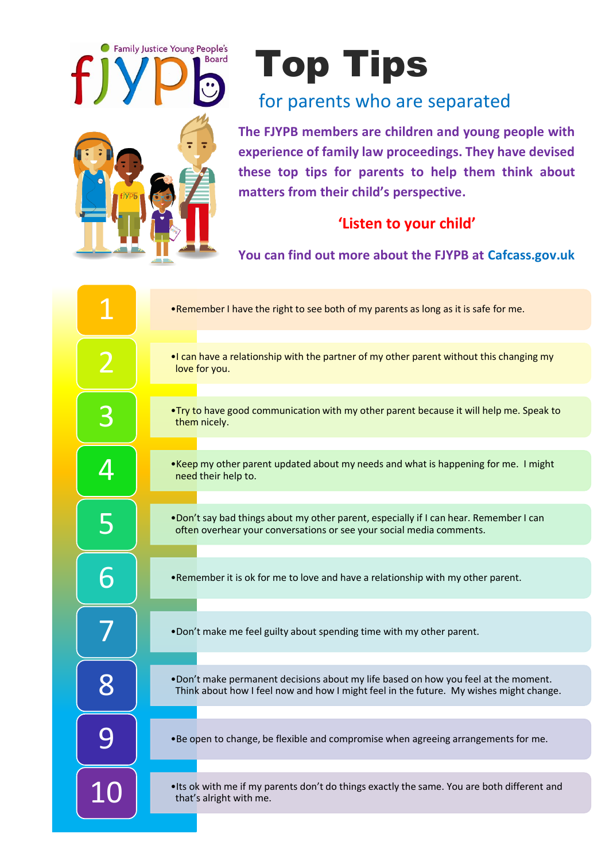

## **The Second Property of Tips**

## for parents who are separated

**The FJYPB members are children and young people with experience of family law proceedings. They have devised these top tips for parents to help them think about matters from their child's perspective.**

## **'Listen to your child'**

**You can find out more about the FJYPB at Cafcass.gov.uk**

|   | . Remember I have the right to see both of my parents as long as it is safe for me.                                                                                           |
|---|-------------------------------------------------------------------------------------------------------------------------------------------------------------------------------|
|   | . I can have a relationship with the partner of my other parent without this changing my<br>love for you.                                                                     |
| 3 | . Try to have good communication with my other parent because it will help me. Speak to<br>them nicely.                                                                       |
| 4 | .Keep my other parent updated about my needs and what is happening for me. I might<br>need their help to.                                                                     |
| 5 | . Don't say bad things about my other parent, especially if I can hear. Remember I can<br>often overhear your conversations or see your social media comments.                |
|   | . Remember it is ok for me to love and have a relationship with my other parent.                                                                                              |
|   | .Don't make me feel guilty about spending time with my other parent.                                                                                                          |
| 8 | . Don't make permanent decisions about my life based on how you feel at the moment.<br>Think about how I feel now and how I might feel in the future. My wishes might change. |
|   | • Be open to change, be flexible and compromise when agreeing arrangements for me.                                                                                            |
|   | . Its ok with me if my parents don't do things exactly the same. You are both different and<br>that's alright with me.                                                        |